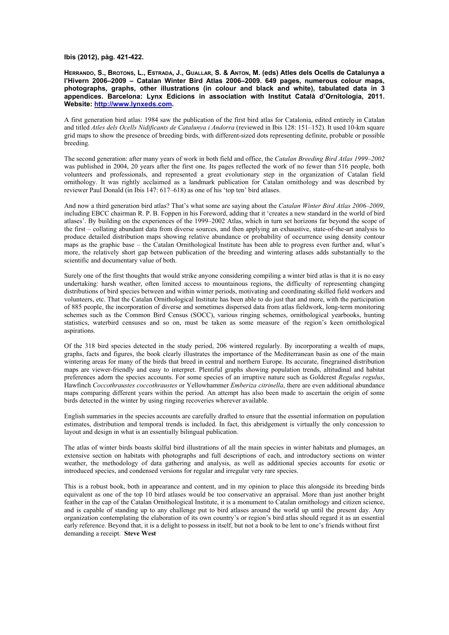**Ibis (2012), pàg. 421-422.** 

**HERRANDO, S., BROTONS, L., ESTRADA, J., GUALLAR, S. & ANTON, M. (eds) Atles dels Ocells de Catalunya a l'Hivern 2006–2009 – Catalan Winter Bird Atlas 2006–2009. 649 pages, numerous colour maps, photographs, graphs, other illustrations (in colour and black and white), tabulated data in 3 appendices. Barcelona: Lynx Edicions in association with Institut Català d'Ornitologia, 2011. Website: [http://www.lynxeds.com](http://www.lynxeds.com/).** 

A first generation bird atlas: 1984 saw the publication of the first bird atlas for Catalonia, edited entirely in Catalan and titled *Atles dels Ocells Nidificants de Catalunya i Andorra* (reviewed in Ibis 128: 151–152). It used 10-km square grid maps to show the presence of breeding birds, with different-sized dots representing definite, probable or possible breeding.

The second generation: after many years of work in both field and office, the *Catalan Breeding Bird Atlas 1999–2002* was published in 2004, 20 years after the first one. Its pages reflected the work of no fewer than 516 people, both volunteers and professionals, and represented a great evolutionary step in the organization of Catalan field ornithology. It was rightly acclaimed as a landmark publication for Catalan ornithology and was described by reviewer Paul Donald (in Ibis 147: 617–618) as one of his 'top ten' bird atlases.

And now a third generation bird atlas? That's what some are saying about the *Catalan Winter Bird Atlas 2006–2009*, including EBCC chairman R. P. B. Foppen in his Foreword, adding that it 'creates a new standard in the world of bird atlases'. By building on the experiences of the 1999–2002 Atlas, which in turn set horizons far beyond the scope of the first – collating abundant data from diverse sources, and then applying an exhaustive, state-of-the-art analysis to produce detailed distribution maps showing relative abundance or probability of occurrence using density contour maps as the graphic base – the Catalan Ornithological Institute has been able to progress even further and, what's more, the relatively short gap between publication of the breeding and wintering atlases adds substantially to the scientific and documentary value of both.

Surely one of the first thoughts that would strike anyone considering compiling a winter bird atlas is that it is no easy undertaking: harsh weather, often limited access to mountainous regions, the difficulty of representing changing distributions of bird species between and within winter periods, motivating and coordinating skilled field workers and volunteers, etc. That the Catalan Ornithological Institute has been able to do just that and more, with the participation of 885 people, the incorporation of diverse and sometimes dispersed data from atlas fieldwork, long-term monitoring schemes such as the Common Bird Census (SOCC), various ringing schemes, ornithological yearbooks, hunting statistics, waterbird censuses and so on, must be taken as some measure of the region's keen ornithological aspirations.

Of the 318 bird species detected in the study period, 206 wintered regularly. By incorporating a wealth of maps, graphs, facts and figures, the book clearly illustrates the importance of the Mediterranean basin as one of the main wintering areas for many of the birds that breed in central and northern Europe. Its accurate, finegrained distribution maps are viewer-friendly and easy to interpret. Plentiful graphs showing population trends, altitudinal and habitat preferences adorn the species accounts. For some species of an irruptive nature such as Goldcrest *Regulus regulus*, Hawfinch *Coccothraustes coccothraustes* or Yellowhammer *Emberiza citrinella*, there are even additional abundance maps comparing different years within the period. An attempt has also been made to ascertain the origin of some birds detected in the winter by using ringing recoveries wherever available.

English summaries in the species accounts are carefully drafted to ensure that the essential information on population estimates, distribution and temporal trends is included. In fact, this abridgement is virtually the only concession to layout and design in what is an essentially bilingual publication.

The atlas of winter birds boasts skilful bird illustrations of all the main species in winter habitats and plumages, an extensive section on habitats with photographs and full descriptions of each, and introductory sections on winter weather, the methodology of data gathering and analysis, as well as additional species accounts for exotic or introduced species, and condensed versions for regular and irregular very rare species.

This is a robust book, both in appearance and content, and in my opinion to place this alongside its breeding birds equivalent as one of the top 10 bird atlases would be too conservative an appraisal. More than just another bright feather in the cap of the Catalan Ornithological Institute, it is a monument to Catalan ornithology and citizen science, and is capable of standing up to any challenge put to bird atlases around the world up until the present day. Any organization contemplating the elaboration of its own country's or region's bird atlas should regard it as an essential early reference. Beyond that, it is a delight to possess in itself, but not a book to be lent to one's friends without first demanding a receipt. **Steve West**